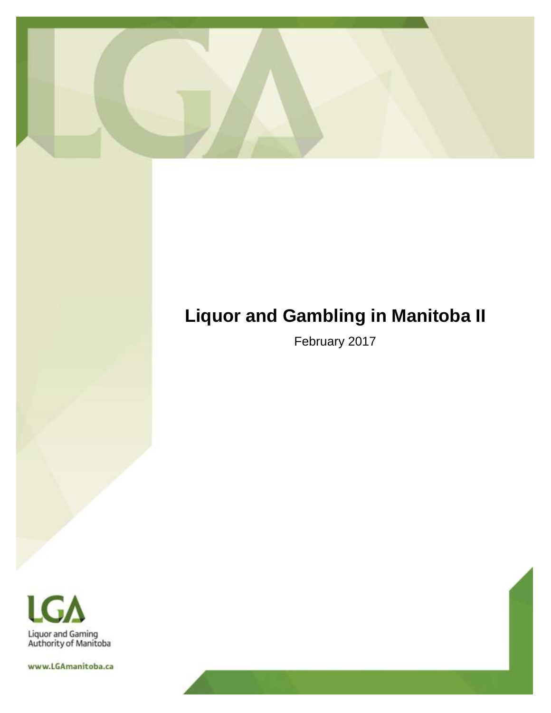

# **Liquor and Gambling in Manitoba II**

February 2017



www.LGAmanitoba.ca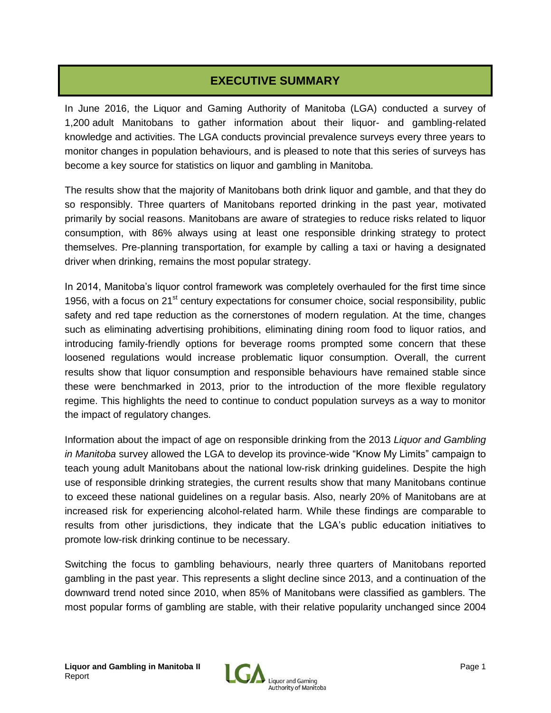# **EXECUTIVE SUMMARY**

In June 2016, the Liquor and Gaming Authority of Manitoba (LGA) conducted a survey of 1,200 adult Manitobans to gather information about their liquor- and gambling-related knowledge and activities. The LGA conducts provincial prevalence surveys every three years to monitor changes in population behaviours, and is pleased to note that this series of surveys has become a key source for statistics on liquor and gambling in Manitoba.

The results show that the majority of Manitobans both drink liquor and gamble, and that they do so responsibly. Three quarters of Manitobans reported drinking in the past year, motivated primarily by social reasons. Manitobans are aware of strategies to reduce risks related to liquor consumption, with 86% always using at least one responsible drinking strategy to protect themselves. Pre-planning transportation, for example by calling a taxi or having a designated driver when drinking, remains the most popular strategy.

In 2014, Manitoba's liquor control framework was completely overhauled for the first time since 1956, with a focus on  $21^{st}$  century expectations for consumer choice, social responsibility, public safety and red tape reduction as the cornerstones of modern regulation. At the time, changes such as eliminating advertising prohibitions, eliminating dining room food to liquor ratios, and introducing family-friendly options for beverage rooms prompted some concern that these loosened regulations would increase problematic liquor consumption. Overall, the current results show that liquor consumption and responsible behaviours have remained stable since these were benchmarked in 2013, prior to the introduction of the more flexible regulatory regime. This highlights the need to continue to conduct population surveys as a way to monitor the impact of regulatory changes.

Information about the impact of age on responsible drinking from the 2013 *Liquor and Gambling in Manitoba* survey allowed the LGA to develop its province-wide "Know My Limits" campaign to teach young adult Manitobans about the national low-risk drinking guidelines. Despite the high use of responsible drinking strategies, the current results show that many Manitobans continue to exceed these national guidelines on a regular basis. Also, nearly 20% of Manitobans are at increased risk for experiencing alcohol-related harm. While these findings are comparable to results from other jurisdictions, they indicate that the LGA's public education initiatives to promote low-risk drinking continue to be necessary.

Switching the focus to gambling behaviours, nearly three quarters of Manitobans reported gambling in the past year. This represents a slight decline since 2013, and a continuation of the downward trend noted since 2010, when 85% of Manitobans were classified as gamblers. The most popular forms of gambling are stable, with their relative popularity unchanged since 2004

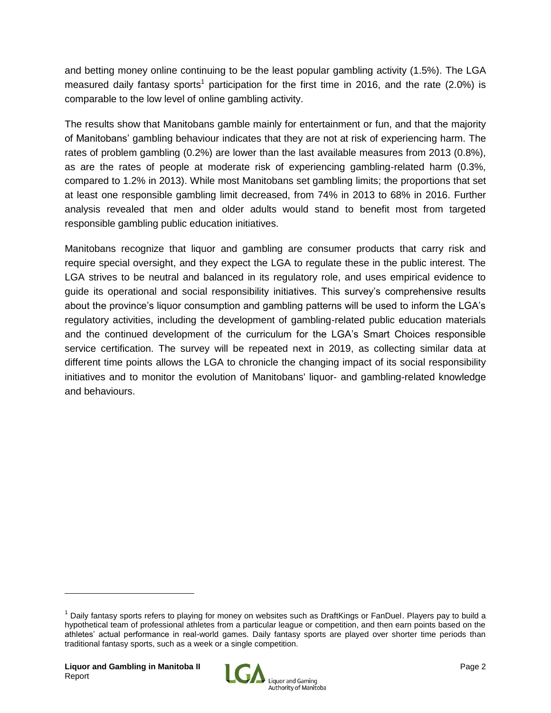and betting money online continuing to be the least popular gambling activity (1.5%). The LGA measured daily fantasy sports<sup>1</sup> participation for the first time in 2016, and the rate (2.0%) is comparable to the low level of online gambling activity.

The results show that Manitobans gamble mainly for entertainment or fun, and that the majority of Manitobans' gambling behaviour indicates that they are not at risk of experiencing harm. The rates of problem gambling (0.2%) are lower than the last available measures from 2013 (0.8%), as are the rates of people at moderate risk of experiencing gambling-related harm (0.3%, compared to 1.2% in 2013). While most Manitobans set gambling limits; the proportions that set at least one responsible gambling limit decreased, from 74% in 2013 to 68% in 2016. Further analysis revealed that men and older adults would stand to benefit most from targeted responsible gambling public education initiatives.

Manitobans recognize that liquor and gambling are consumer products that carry risk and require special oversight, and they expect the LGA to regulate these in the public interest. The LGA strives to be neutral and balanced in its regulatory role, and uses empirical evidence to guide its operational and social responsibility initiatives. This survey's comprehensive results about the province's liquor consumption and gambling patterns will be used to inform the LGA's regulatory activities, including the development of gambling-related public education materials and the continued development of the curriculum for the LGA's Smart Choices responsible service certification. The survey will be repeated next in 2019, as collecting similar data at different time points allows the LGA to chronicle the changing impact of its social responsibility initiatives and to monitor the evolution of Manitobans' liquor- and gambling-related knowledge and behaviours.



<sup>1</sup> Daily fantasy sports refers to playing for money on websites such as DraftKings or FanDuel. Players pay to build a hypothetical team of professional athletes from a particular league or competition, and then earn points based on the athletes' actual performance in real-world games. Daily fantasy sports are played over shorter time periods than traditional fantasy sports, such as a week or a single competition.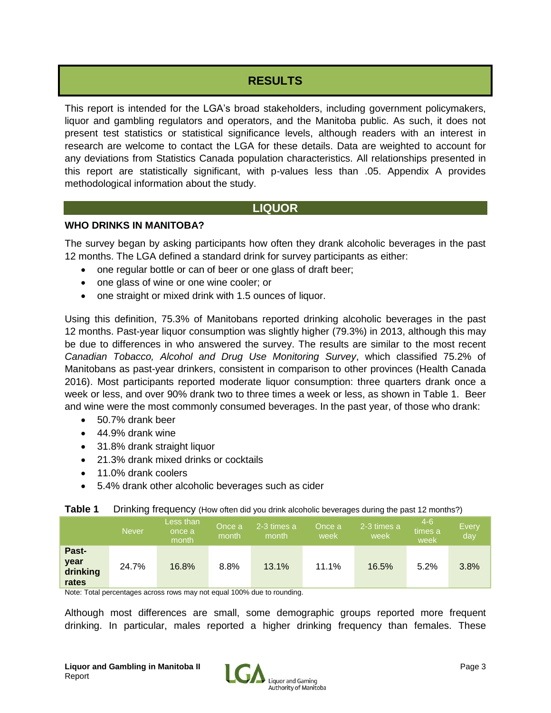# **RESULTS**

This report is intended for the LGA's broad stakeholders, including government policymakers, liquor and gambling regulators and operators, and the Manitoba public. As such, it does not present test statistics or statistical significance levels, although readers with an interest in research are welcome to contact the LGA for these details. Data are weighted to account for any deviations from Statistics Canada population characteristics. All relationships presented in this report are statistically significant, with p-values less than .05. Appendix A provides methodological information about the study.

# **LIQUOR**

# **WHO DRINKS IN MANITOBA?**

The survey began by asking participants how often they drank alcoholic beverages in the past 12 months. The LGA defined a standard drink for survey participants as either:

- one regular bottle or can of beer or one glass of draft beer;
- one glass of wine or one wine cooler; or
- one straight or mixed drink with 1.5 ounces of liquor.

Using this definition, 75.3% of Manitobans reported drinking alcoholic beverages in the past 12 months. Past-year liquor consumption was slightly higher (79.3%) in 2013, although this may be due to differences in who answered the survey. The results are similar to the most recent *Canadian Tobacco, Alcohol and Drug Use Monitoring Survey*, which classified 75.2% of Manitobans as past-year drinkers, consistent in comparison to other provinces (Health Canada 2016). Most participants reported moderate liquor consumption: three quarters drank once a week or less, and over 90% drank two to three times a week or less, as shown in Table 1. Beer and wine were the most commonly consumed beverages. In the past year, of those who drank:

- 50.7% drank beer
- 44.9% drank wine
- 31.8% drank straight liquor
- 21.3% drank mixed drinks or cocktails
- 11.0% drank coolers
- 5.4% drank other alcoholic beverages such as cider

| Table 1 |  |  | Drinking frequency (How often did you drink alcoholic beverages during the past 12 months?) |
|---------|--|--|---------------------------------------------------------------------------------------------|
|---------|--|--|---------------------------------------------------------------------------------------------|

|                                    | Never/ | Less than<br>once a<br>month | Once a<br>month | 2-3 times a<br>month | Once a<br>week | 2-3 times a<br>week | 4-6<br>times a<br>week | Every<br>day |
|------------------------------------|--------|------------------------------|-----------------|----------------------|----------------|---------------------|------------------------|--------------|
| Past-<br>year<br>drinking<br>rates | 24.7%  | 16.8%                        | 8.8%            | 13.1%                | 11.1%          | 16.5%               | 5.2%                   | 3.8%         |

Note: Total percentages across rows may not equal 100% due to rounding.

Although most differences are small, some demographic groups reported more frequent drinking. In particular, males reported a higher drinking frequency than females. These

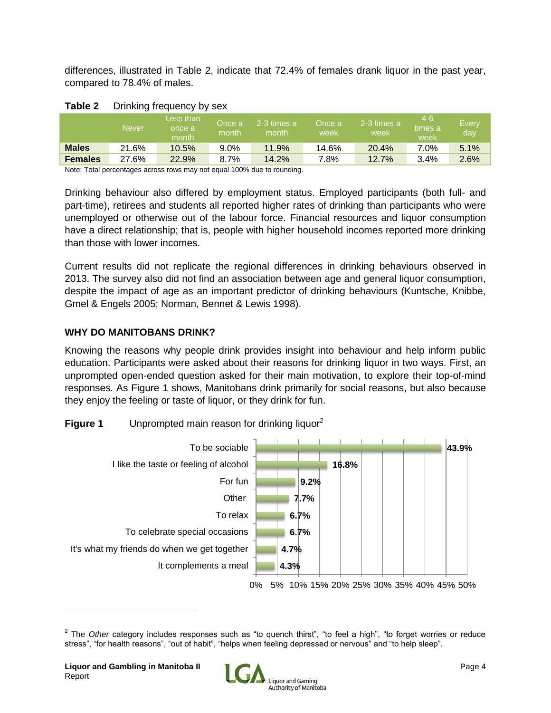differences, illustrated in Table 2, indicate that 72.4% of females drank liquor in the past year, compared to 78.4% of males.

|                | Never | Less than<br>once a<br>month | Once a<br>month | 2-3 times a<br>month | Once a<br>week | 2-3 times a<br>week | l4-6<br>times a<br>week | Every<br>day |
|----------------|-------|------------------------------|-----------------|----------------------|----------------|---------------------|-------------------------|--------------|
| <b>Males</b>   | 21.6% | 10.5%                        | $9.0\%$         | 11.9%                | 14.6%          | 20.4%               | 7.0%                    | 5.1%         |
| <b>Females</b> | 27.6% | 22.9%                        | 8.7%            | 14.2%                | 7.8%           | 12.7%               | 3.4%                    | 2.6%         |

Note: Total percentages across rows may not equal 100% due to rounding.

Drinking behaviour also differed by employment status. Employed participants (both full- and part-time), retirees and students all reported higher rates of drinking than participants who were unemployed or otherwise out of the labour force. Financial resources and liquor consumption have a direct relationship; that is, people with higher household incomes reported more drinking than those with lower incomes.

Current results did not replicate the regional differences in drinking behaviours observed in 2013. The survey also did not find an association between age and general liquor consumption, despite the impact of age as an important predictor of drinking behaviours (Kuntsche, Knibbe, Gmel & Engels 2005; Norman, Bennet & Lewis 1998).

# **WHY DO MANITOBANS DRINK?**

Knowing the reasons why people drink provides insight into behaviour and help inform public education. Participants were asked about their reasons for drinking liquor in two ways. First, an unprompted open-ended question asked for their main motivation, to explore their top-of-mind responses. As Figure 1 shows, Manitobans drink primarily for social reasons, but also because they enjoy the feeling or taste of liquor, or they drink for fun.





<sup>&</sup>lt;sup>2</sup> The *Other* category includes responses such as "to quench thirst", "to feel a high", "to forget worries or reduce stress", "for health reasons", "out of habit", "helps when feeling depressed or nervous" and "to help sleep".

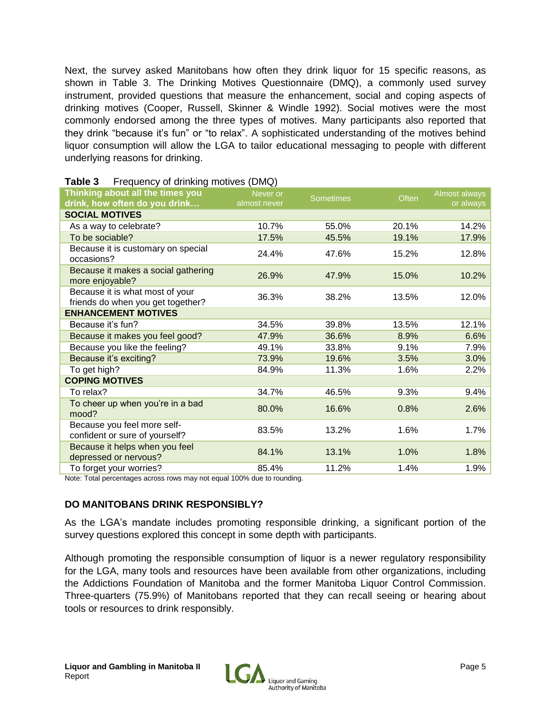Next, the survey asked Manitobans how often they drink liquor for 15 specific reasons, as shown in Table 3. The Drinking Motives Questionnaire (DMQ), a commonly used survey instrument, provided questions that measure the enhancement, social and coping aspects of drinking motives (Cooper, Russell, Skinner & Windle 1992). Social motives were the most commonly endorsed among the three types of motives. Many participants also reported that they drink "because it's fun" or "to relax". A sophisticated understanding of the motives behind liquor consumption will allow the LGA to tailor educational messaging to people with different underlying reasons for drinking.

| $1.54$ and $1.57$ is an individually internet $(2.11)$                 |                          |                  |       |                            |
|------------------------------------------------------------------------|--------------------------|------------------|-------|----------------------------|
| Thinking about all the times you<br>drink, how often do you drink      | Never or<br>almost never | <b>Sometimes</b> | Often | Almost always<br>or always |
| <b>SOCIAL MOTIVES</b>                                                  |                          |                  |       |                            |
| As a way to celebrate?                                                 | 10.7%                    | 55.0%            | 20.1% | 14.2%                      |
| To be sociable?                                                        | 17.5%                    | 45.5%            | 19.1% | 17.9%                      |
| Because it is customary on special<br>occasions?                       | 24.4%                    | 47.6%            | 15.2% | 12.8%                      |
| Because it makes a social gathering<br>more enjoyable?                 | 26.9%                    | 47.9%            | 15.0% | 10.2%                      |
| Because it is what most of your<br>friends do when you get together?   | 36.3%                    | 38.2%            | 13.5% | 12.0%                      |
| <b>ENHANCEMENT MOTIVES</b>                                             |                          |                  |       |                            |
| Because it's fun?                                                      | 34.5%                    | 39.8%            | 13.5% | 12.1%                      |
| Because it makes you feel good?                                        | 47.9%                    | 36.6%            | 8.9%  | 6.6%                       |
| Because you like the feeling?                                          | 49.1%                    | 33.8%            | 9.1%  | 7.9%                       |
| Because it's exciting?                                                 | 73.9%                    | 19.6%            | 3.5%  | 3.0%                       |
| To get high?                                                           | 84.9%                    | 11.3%            | 1.6%  | 2.2%                       |
| <b>COPING MOTIVES</b>                                                  |                          |                  |       |                            |
| To relax?                                                              | 34.7%                    | 46.5%            | 9.3%  | 9.4%                       |
| To cheer up when you're in a bad<br>mood?                              | 80.0%                    | 16.6%            | 0.8%  | 2.6%                       |
| Because you feel more self-<br>confident or sure of yourself?          | 83.5%                    | 13.2%            | 1.6%  | 1.7%                       |
| Because it helps when you feel<br>depressed or nervous?                | 84.1%                    | 13.1%            | 1.0%  | 1.8%                       |
| To forget your worries?                                                | 85.4%                    | 11.2%            | 1.4%  | 1.9%                       |
| Note: Total perceptages across rows may not equal 100% due to reunding |                          |                  |       |                            |

### **Table 3** Frequency of drinking motives (DMQ)

Note: Total percentages across rows may not equal 100% due to rounding.

# **DO MANITOBANS DRINK RESPONSIBLY?**

As the LGA's mandate includes promoting responsible drinking, a significant portion of the survey questions explored this concept in some depth with participants.

Although promoting the responsible consumption of liquor is a newer regulatory responsibility for the LGA, many tools and resources have been available from other organizations, including the Addictions Foundation of Manitoba and the former Manitoba Liquor Control Commission. Three-quarters (75.9%) of Manitobans reported that they can recall seeing or hearing about tools or resources to drink responsibly.

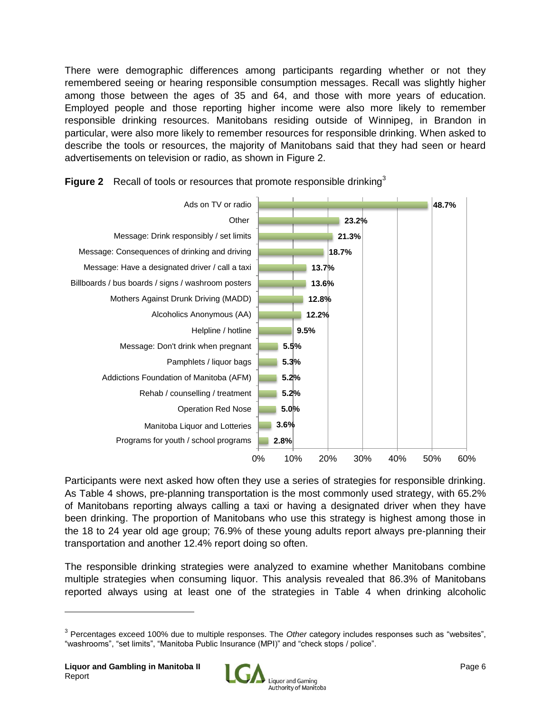There were demographic differences among participants regarding whether or not they remembered seeing or hearing responsible consumption messages. Recall was slightly higher among those between the ages of 35 and 64, and those with more years of education. Employed people and those reporting higher income were also more likely to remember responsible drinking resources. Manitobans residing outside of Winnipeg, in Brandon in particular, were also more likely to remember resources for responsible drinking. When asked to describe the tools or resources, the majority of Manitobans said that they had seen or heard advertisements on television or radio, as shown in Figure 2.



**Figure 2** Recall of tools or resources that promote responsible drinking<sup>3</sup>

Participants were next asked how often they use a series of strategies for responsible drinking. As Table 4 shows, pre-planning transportation is the most commonly used strategy, with 65.2% of Manitobans reporting always calling a taxi or having a designated driver when they have been drinking. The proportion of Manitobans who use this strategy is highest among those in the 18 to 24 year old age group; 76.9% of these young adults report always pre-planning their transportation and another 12.4% report doing so often.

The responsible drinking strategies were analyzed to examine whether Manitobans combine multiple strategies when consuming liquor. This analysis revealed that 86.3% of Manitobans reported always using at least one of the strategies in Table 4 when drinking alcoholic



<sup>3</sup> Percentages exceed 100% due to multiple responses. The *Other* category includes responses such as "websites", "washrooms", "set limits", "Manitoba Public Insurance (MPI)" and "check stops / police".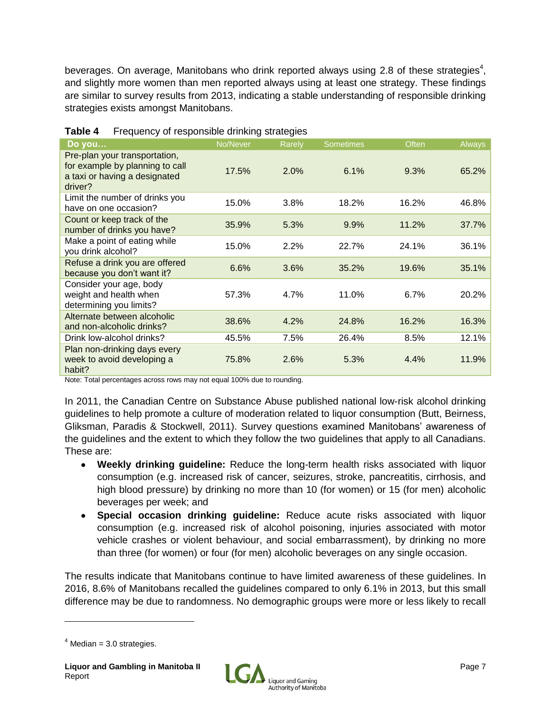beverages. On average, Manitobans who drink reported always using 2.8 of these strategies<sup>4</sup>, and slightly more women than men reported always using at least one strategy. These findings are similar to survey results from 2013, indicating a stable understanding of responsible drinking strategies exists amongst Manitobans.

| Do you                                                                                                       | No/Never | Rarely | <b>Sometimes</b> | Often | Always |
|--------------------------------------------------------------------------------------------------------------|----------|--------|------------------|-------|--------|
| Pre-plan your transportation,<br>for example by planning to call<br>a taxi or having a designated<br>driver? | 17.5%    | 2.0%   | 6.1%             | 9.3%  | 65.2%  |
| Limit the number of drinks you<br>have on one occasion?                                                      | 15.0%    | 3.8%   | 18.2%            | 16.2% | 46.8%  |
| Count or keep track of the<br>number of drinks you have?                                                     | 35.9%    | 5.3%   | 9.9%             | 11.2% | 37.7%  |
| Make a point of eating while<br>you drink alcohol?                                                           | 15.0%    | 2.2%   | 22.7%            | 24.1% | 36.1%  |
| Refuse a drink you are offered<br>because you don't want it?                                                 | 6.6%     | 3.6%   | 35.2%            | 19.6% | 35.1%  |
| Consider your age, body<br>weight and health when<br>determining you limits?                                 | 57.3%    | 4.7%   | 11.0%            | 6.7%  | 20.2%  |
| Alternate between alcoholic<br>and non-alcoholic drinks?                                                     | 38.6%    | 4.2%   | 24.8%            | 16.2% | 16.3%  |
| Drink low-alcohol drinks?                                                                                    | 45.5%    | 7.5%   | 26.4%            | 8.5%  | 12.1%  |
| Plan non-drinking days every<br>week to avoid developing a<br>habit?                                         | 75.8%    | 2.6%   | 5.3%             | 4.4%  | 11.9%  |

| Table 4 | Frequency of responsible drinking strategies |  |
|---------|----------------------------------------------|--|
|---------|----------------------------------------------|--|

Note: Total percentages across rows may not equal 100% due to rounding.

In 2011, the Canadian Centre on Substance Abuse published national low-risk alcohol drinking guidelines to help promote a culture of moderation related to liquor consumption (Butt, Beirness, Gliksman, Paradis & Stockwell, 2011). Survey questions examined Manitobans' awareness of the guidelines and the extent to which they follow the two guidelines that apply to all Canadians. These are:

- **Weekly drinking guideline:** Reduce the long-term health risks associated with liquor consumption (e.g. increased risk of cancer, seizures, stroke, pancreatitis, cirrhosis, and high blood pressure) by drinking no more than 10 (for women) or 15 (for men) alcoholic beverages per week; and
- **Special occasion drinking guideline:** Reduce acute risks associated with liquor consumption (e.g. increased risk of alcohol poisoning, injuries associated with motor vehicle crashes or violent behaviour, and social embarrassment), by drinking no more than three (for women) or four (for men) alcoholic beverages on any single occasion.

The results indicate that Manitobans continue to have limited awareness of these guidelines. In 2016, 8.6% of Manitobans recalled the guidelines compared to only 6.1% in 2013, but this small difference may be due to randomness. No demographic groups were more or less likely to recall



 $4$  Median = 3.0 strategies.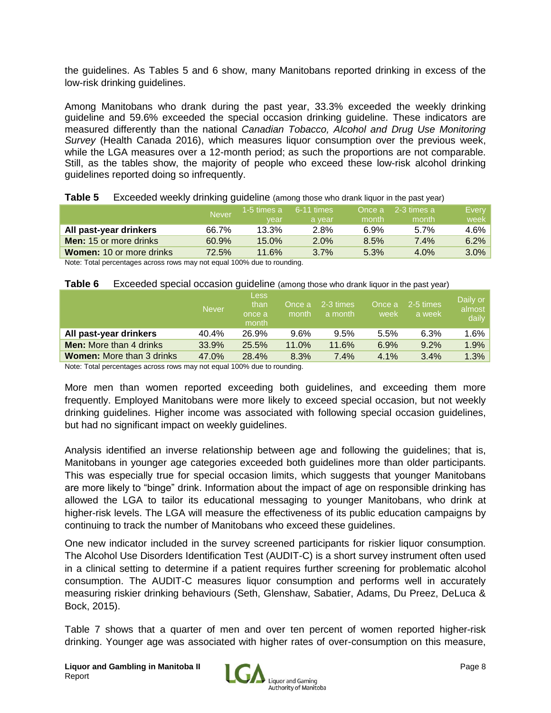the guidelines. As Tables 5 and 6 show, many Manitobans reported drinking in excess of the low-risk drinking guidelines.

Among Manitobans who drank during the past year, 33.3% exceeded the weekly drinking guideline and 59.6% exceeded the special occasion drinking guideline. These indicators are measured differently than the national *Canadian Tobacco, Alcohol and Drug Use Monitoring Survey* (Health Canada 2016), which measures liquor consumption over the previous week, while the LGA measures over a 12-month period; as such the proportions are not comparable. Still, as the tables show, the majority of people who exceed these low-risk alcohol drinking guidelines reported doing so infrequently.

|                                 | <b>Never</b> | 1-5 times a | $6 - 11$ times |       | Once a 2-3 times a | Every   |
|---------------------------------|--------------|-------------|----------------|-------|--------------------|---------|
|                                 |              | vear        | a vear         | month | month              | week    |
| All past-year drinkers          | 66.7%        | 13.3%       | 2.8%           | 6.9%  | 5.7%               | $4.6\%$ |
| <b>Men:</b> 15 or more drinks   | 60.9%        | $15.0\%$    | 2.0%           | 8.5%  | $7.4\%$            | 6.2%    |
| <b>Women: 10 or more drinks</b> | 72.5%        | 11.6%       | 3.7%           | 5.3%  | 4.0%               | $3.0\%$ |
|                                 |              | .           |                |       |                    |         |

#### **Table 5** Exceeded weekly drinking quideline (among those who drank liquor in the past year)

Note: Total percentages across rows may not equal 100% due to rounding.

#### **Table 6** Exceeded special occasion guideline (among those who drank liquor in the past year)

|                                  | <b>Never</b> | <b>Less</b><br>than<br>once a<br>month | Once a<br>month | 2-3 times<br>a month | Once a<br>week | 2-5 times<br>a week | Daily or<br>almost<br>daily |
|----------------------------------|--------------|----------------------------------------|-----------------|----------------------|----------------|---------------------|-----------------------------|
| All past-year drinkers           | 40.4%        | 26.9%                                  | $9.6\%$         | 9.5%                 | 5.5%           | 6.3%                | $1.6\%$                     |
| <b>Men:</b> More than 4 drinks   | 33.9%        | 25.5%                                  | 11.0%           | 11.6%                | 6.9%           | 9.2%                | $1.9\%$                     |
| <b>Women:</b> More than 3 drinks | 47.0%        | 28.4%                                  | 8.3%            | 7.4%                 | 4.1%           | 3.4%                | 1.3%                        |

Note: Total percentages across rows may not equal 100% due to rounding.

More men than women reported exceeding both guidelines, and exceeding them more frequently. Employed Manitobans were more likely to exceed special occasion, but not weekly drinking guidelines. Higher income was associated with following special occasion guidelines, but had no significant impact on weekly quidelines.

Analysis identified an inverse relationship between age and following the guidelines; that is, Manitobans in younger age categories exceeded both guidelines more than older participants. This was especially true for special occasion limits, which suggests that younger Manitobans are more likely to "binge" drink. Information about the impact of age on responsible drinking has allowed the LGA to tailor its educational messaging to younger Manitobans, who drink at higher-risk levels. The LGA will measure the effectiveness of its public education campaigns by continuing to track the number of Manitobans who exceed these guidelines.

One new indicator included in the survey screened participants for riskier liquor consumption. The Alcohol Use Disorders Identification Test (AUDIT-C) is a short survey instrument often used in a clinical setting to determine if a patient requires further screening for problematic alcohol consumption. The AUDIT-C measures liquor consumption and performs well in accurately measuring riskier drinking behaviours (Seth, Glenshaw, Sabatier, Adams, Du Preez, DeLuca & Bock, 2015).

Table 7 shows that a quarter of men and over ten percent of women reported higher-risk drinking. Younger age was associated with higher rates of over-consumption on this measure,

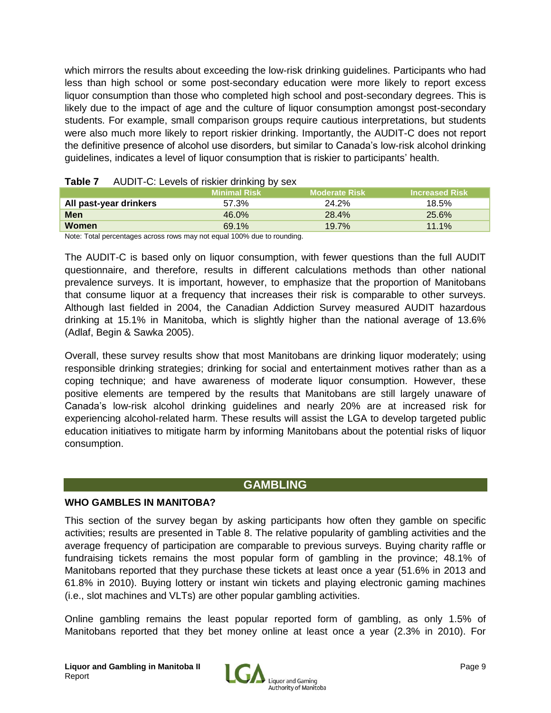which mirrors the results about exceeding the low-risk drinking guidelines. Participants who had less than high school or some post-secondary education were more likely to report excess liquor consumption than those who completed high school and post-secondary degrees. This is likely due to the impact of age and the culture of liquor consumption amongst post-secondary students. For example, small comparison groups require cautious interpretations, but students were also much more likely to report riskier drinking. Importantly, the AUDIT-C does not report the definitive presence of alcohol use disorders, but similar to Canada's low-risk alcohol drinking guidelines, indicates a level of liquor consumption that is riskier to participants' health.

|                                                                        | <b>Minimal Risk</b> | <b>Moderate Risk</b> | <b>Increased Risk</b> |
|------------------------------------------------------------------------|---------------------|----------------------|-----------------------|
| All past-year drinkers                                                 | 57.3%               | 24.2%                | 18.5%                 |
| <b>Men</b>                                                             | 46.0%               | 28.4%                | 25.6%                 |
| Women                                                                  | 69.1%               | 19.7%                | $11.1\%$              |
| Note: Total perceptages across rows may not equal 100% due to rounding |                     |                      |                       |

| Table 7 | AUDIT-C: Levels of riskier drinking by sex |  |  |  |  |
|---------|--------------------------------------------|--|--|--|--|
|---------|--------------------------------------------|--|--|--|--|

ercentages across rows may not equal 100% due to rounding

The AUDIT-C is based only on liquor consumption, with fewer questions than the full AUDIT questionnaire, and therefore, results in different calculations methods than other national prevalence surveys. It is important, however, to emphasize that the proportion of Manitobans that consume liquor at a frequency that increases their risk is comparable to other surveys. Although last fielded in 2004, the Canadian Addiction Survey measured AUDIT hazardous drinking at 15.1% in Manitoba, which is slightly higher than the national average of 13.6% (Adlaf, Begin & Sawka 2005).

Overall, these survey results show that most Manitobans are drinking liquor moderately; using responsible drinking strategies; drinking for social and entertainment motives rather than as a coping technique; and have awareness of moderate liquor consumption. However, these positive elements are tempered by the results that Manitobans are still largely unaware of Canada's low-risk alcohol drinking guidelines and nearly 20% are at increased risk for experiencing alcohol-related harm. These results will assist the LGA to develop targeted public education initiatives to mitigate harm by informing Manitobans about the potential risks of liquor consumption.

# **GAMBLING**

#### **WHO GAMBLES IN MANITOBA?**

This section of the survey began by asking participants how often they gamble on specific activities; results are presented in Table 8. The relative popularity of gambling activities and the average frequency of participation are comparable to previous surveys. Buying charity raffle or fundraising tickets remains the most popular form of gambling in the province; 48.1% of Manitobans reported that they purchase these tickets at least once a year (51.6% in 2013 and 61.8% in 2010). Buying lottery or instant win tickets and playing electronic gaming machines (i.e., slot machines and VLTs) are other popular gambling activities.

Online gambling remains the least popular reported form of gambling, as only 1.5% of Manitobans reported that they bet money online at least once a year (2.3% in 2010). For

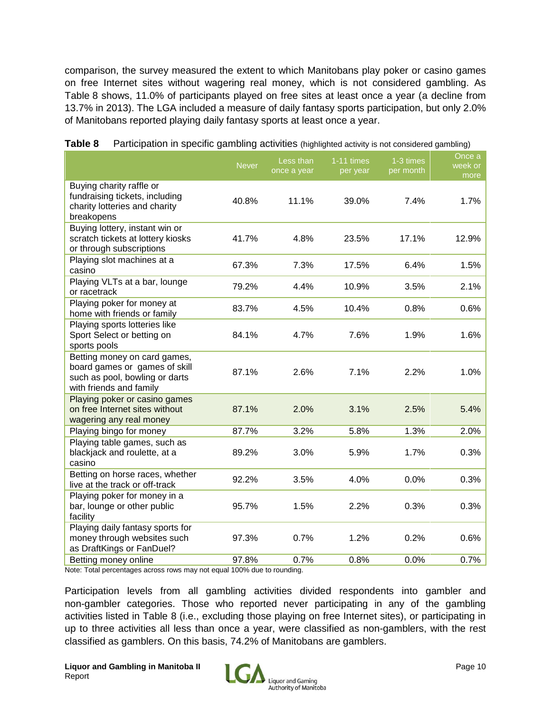comparison, the survey measured the extent to which Manitobans play poker or casino games on free Internet sites without wagering real money, which is not considered gambling. As Table 8 shows, 11.0% of participants played on free sites at least once a year (a decline from 13.7% in 2013). The LGA included a measure of daily fantasy sports participation, but only 2.0% of Manitobans reported playing daily fantasy sports at least once a year.

|                                                                                                                            | <b>Never</b> | Less than<br>once a year | 1-11 times<br>per year | 1-3 times<br>per month | Once a<br>week or<br>more |
|----------------------------------------------------------------------------------------------------------------------------|--------------|--------------------------|------------------------|------------------------|---------------------------|
| Buying charity raffle or<br>fundraising tickets, including<br>charity lotteries and charity<br>breakopens                  | 40.8%        | 11.1%                    | 39.0%                  | 7.4%                   | 1.7%                      |
| Buying lottery, instant win or<br>scratch tickets at lottery kiosks<br>or through subscriptions                            | 41.7%        | 4.8%                     | 23.5%                  | 17.1%                  | 12.9%                     |
| Playing slot machines at a<br>casino                                                                                       | 67.3%        | 7.3%                     | 17.5%                  | 6.4%                   | 1.5%                      |
| Playing VLTs at a bar, lounge<br>or racetrack                                                                              | 79.2%        | 4.4%                     | 10.9%                  | 3.5%                   | 2.1%                      |
| Playing poker for money at<br>home with friends or family                                                                  | 83.7%        | 4.5%                     | 10.4%                  | 0.8%                   | 0.6%                      |
| Playing sports lotteries like<br>Sport Select or betting on<br>sports pools                                                | 84.1%        | 4.7%                     | 7.6%                   | 1.9%                   | 1.6%                      |
| Betting money on card games,<br>board games or games of skill<br>such as pool, bowling or darts<br>with friends and family | 87.1%        | 2.6%                     | 7.1%                   | 2.2%                   | 1.0%                      |
| Playing poker or casino games<br>on free Internet sites without<br>wagering any real money                                 | 87.1%        | 2.0%                     | 3.1%                   | 2.5%                   | 5.4%                      |
| Playing bingo for money                                                                                                    | 87.7%        | 3.2%                     | 5.8%                   | 1.3%                   | 2.0%                      |
| Playing table games, such as<br>blackjack and roulette, at a<br>casino                                                     | 89.2%        | 3.0%                     | 5.9%                   | 1.7%                   | 0.3%                      |
| Betting on horse races, whether<br>live at the track or off-track                                                          | 92.2%        | 3.5%                     | 4.0%                   | 0.0%                   | 0.3%                      |
| Playing poker for money in a<br>bar, lounge or other public<br>facility                                                    | 95.7%        | 1.5%                     | 2.2%                   | 0.3%                   | 0.3%                      |
| Playing daily fantasy sports for<br>money through websites such<br>as DraftKings or FanDuel?                               | 97.3%        | 0.7%                     | 1.2%                   | 0.2%                   | 0.6%                      |
| Betting money online                                                                                                       | 97.8%        | 0.7%                     | 0.8%                   | 0.0%                   | 0.7%                      |

Note: Total percentages across rows may not equal 100% due to rounding.

Participation levels from all gambling activities divided respondents into gambler and non-gambler categories. Those who reported never participating in any of the gambling activities listed in Table 8 (i.e., excluding those playing on free Internet sites), or participating in up to three activities all less than once a year, were classified as non-gamblers, with the rest classified as gamblers. On this basis, 74.2% of Manitobans are gamblers.

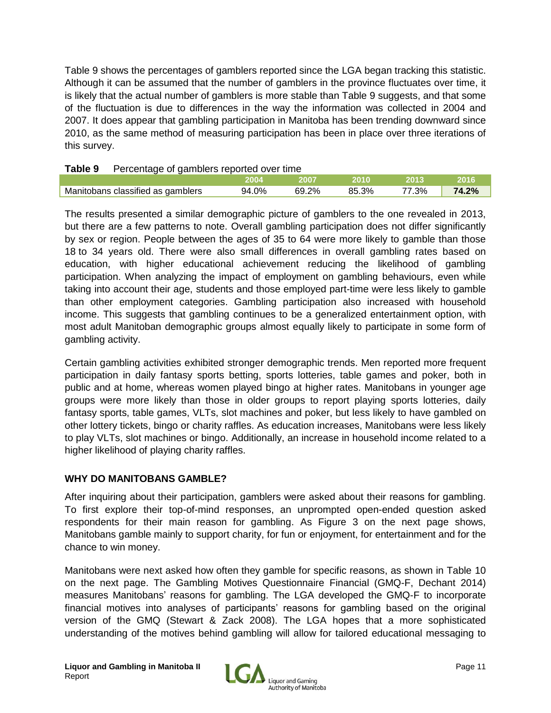Table 9 shows the percentages of gamblers reported since the LGA began tracking this statistic. Although it can be assumed that the number of gamblers in the province fluctuates over time, it is likely that the actual number of gamblers is more stable than Table 9 suggests, and that some of the fluctuation is due to differences in the way the information was collected in 2004 and 2007. It does appear that gambling participation in Manitoba has been trending downward since 2010, as the same method of measuring participation has been in place over three iterations of this survey.

| Table 9<br>Percentage of gamblers reported over time |       |        |        |       |       |
|------------------------------------------------------|-------|--------|--------|-------|-------|
|                                                      | 2004  | - 2007 | -2010- | -2013 | -2016 |
| Manitobans classified as gamblers                    | 94.0% | 69.2%  | 85.3%  | 77.3% | 74.2% |

The results presented a similar demographic picture of gamblers to the one revealed in 2013, but there are a few patterns to note. Overall gambling participation does not differ significantly by sex or region. People between the ages of 35 to 64 were more likely to gamble than those 18 to 34 years old. There were also small differences in overall gambling rates based on education, with higher educational achievement reducing the likelihood of gambling participation. When analyzing the impact of employment on gambling behaviours, even while taking into account their age, students and those employed part-time were less likely to gamble than other employment categories. Gambling participation also increased with household income. This suggests that gambling continues to be a generalized entertainment option, with most adult Manitoban demographic groups almost equally likely to participate in some form of gambling activity.

Certain gambling activities exhibited stronger demographic trends. Men reported more frequent participation in daily fantasy sports betting, sports lotteries, table games and poker, both in public and at home, whereas women played bingo at higher rates. Manitobans in younger age groups were more likely than those in older groups to report playing sports lotteries, daily fantasy sports, table games, VLTs, slot machines and poker, but less likely to have gambled on other lottery tickets, bingo or charity raffles. As education increases, Manitobans were less likely to play VLTs, slot machines or bingo. Additionally, an increase in household income related to a higher likelihood of playing charity raffles.

# **WHY DO MANITOBANS GAMBLE?**

After inquiring about their participation, gamblers were asked about their reasons for gambling. To first explore their top-of-mind responses, an unprompted open-ended question asked respondents for their main reason for gambling. As Figure 3 on the next page shows, Manitobans gamble mainly to support charity, for fun or enjoyment, for entertainment and for the chance to win money.

Manitobans were next asked how often they gamble for specific reasons, as shown in Table 10 on the next page. The Gambling Motives Questionnaire Financial (GMQ-F, Dechant 2014) measures Manitobans' reasons for gambling. The LGA developed the GMQ-F to incorporate financial motives into analyses of participants' reasons for gambling based on the original version of the GMQ (Stewart & Zack 2008). The LGA hopes that a more sophisticated understanding of the motives behind gambling will allow for tailored educational messaging to

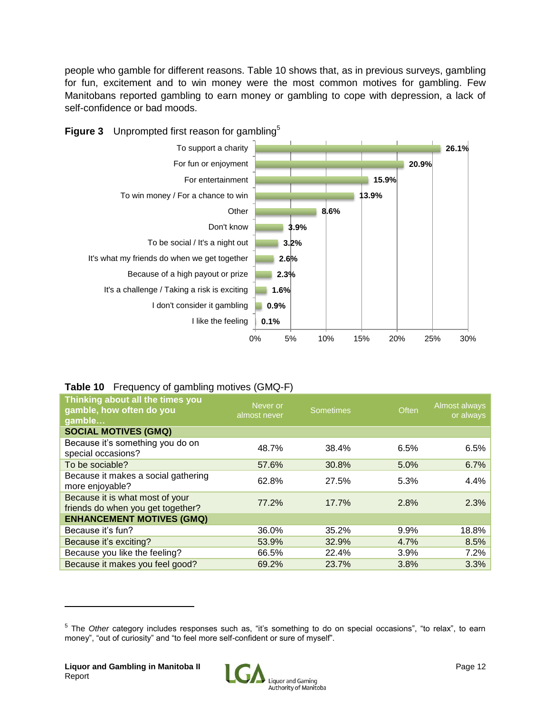people who gamble for different reasons. Table 10 shows that, as in previous surveys, gambling for fun, excitement and to win money were the most common motives for gambling. Few Manitobans reported gambling to earn money or gambling to cope with depression, a lack of self-confidence or bad moods.



# **Table 10** Frequency of gambling motives (GMQ-F)

| Thinking about all the times you<br>gamble, how often do you<br>gamble | Never or<br>almost never | <b>Sometimes</b> | Often | Almost always<br>or always |
|------------------------------------------------------------------------|--------------------------|------------------|-------|----------------------------|
| <b>SOCIAL MOTIVES (GMQ)</b>                                            |                          |                  |       |                            |
| Because it's something you do on<br>special occasions?                 | 48.7%                    | 38.4%            | 6.5%  | 6.5%                       |
| To be sociable?                                                        | 57.6%                    | 30.8%            | 5.0%  | 6.7%                       |
| Because it makes a social gathering<br>more enjoyable?                 | 62.8%                    | 27.5%            | 5.3%  | 4.4%                       |
| Because it is what most of your<br>friends do when you get together?   | 77.2%                    | 17.7%            | 2.8%  | 2.3%                       |
| <b>ENHANCEMENT MOTIVES (GMQ)</b>                                       |                          |                  |       |                            |
| Because it's fun?                                                      | 36.0%                    | 35.2%            | 9.9%  | 18.8%                      |
| Because it's exciting?                                                 | 53.9%                    | 32.9%            | 4.7%  | 8.5%                       |
| Because you like the feeling?                                          | 66.5%                    | 22.4%            | 3.9%  | 7.2%                       |
| Because it makes you feel good?                                        | 69.2%                    | 23.7%            | 3.8%  | 3.3%                       |

<sup>&</sup>lt;sup>5</sup> The *Other* category includes responses such as, "it's something to do on special occasions", "to relax", to earn money", "out of curiosity" and "to feel more self-confident or sure of myself".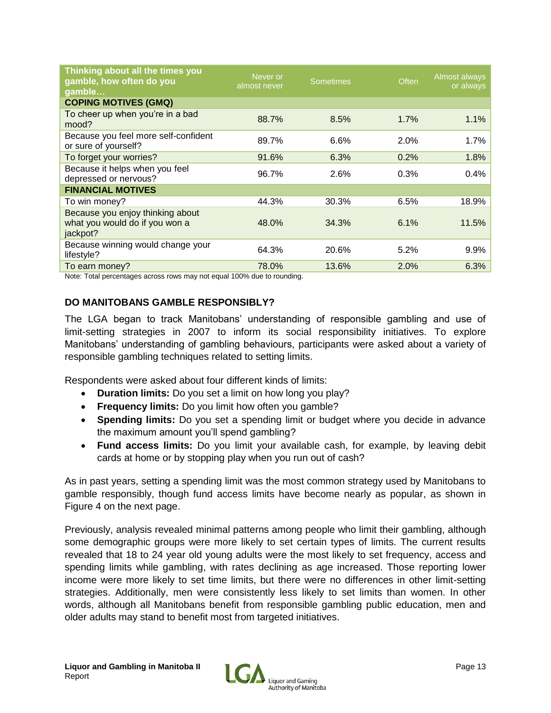| Thinking about all the times you<br>gamble, how often do you<br>gamble         | Never or<br>almost never | <b>Sometimes</b> | Often | Almost always<br>or always |
|--------------------------------------------------------------------------------|--------------------------|------------------|-------|----------------------------|
| <b>COPING MOTIVES (GMQ)</b>                                                    |                          |                  |       |                            |
| To cheer up when you're in a bad<br>mood?                                      | 88.7%                    | 8.5%             | 1.7%  | 1.1%                       |
| Because you feel more self-confident<br>or sure of yourself?                   | 89.7%                    | 6.6%             | 2.0%  | 1.7%                       |
| To forget your worries?                                                        | 91.6%                    | 6.3%             | 0.2%  | 1.8%                       |
| Because it helps when you feel<br>depressed or nervous?                        | 96.7%                    | 2.6%             | 0.3%  | 0.4%                       |
| <b>FINANCIAL MOTIVES</b>                                                       |                          |                  |       |                            |
| To win money?                                                                  | 44.3%                    | 30.3%            | 6.5%  | 18.9%                      |
| Because you enjoy thinking about<br>what you would do if you won a<br>jackpot? | 48.0%                    | 34.3%            | 6.1%  | 11.5%                      |
| Because winning would change your<br>lifestyle?                                | 64.3%                    | 20.6%            | 5.2%  | 9.9%                       |
| To earn money?                                                                 | 78.0%                    | 13.6%            | 2.0%  | 6.3%                       |

Note: Total percentages across rows may not equal 100% due to rounding.

# **DO MANITOBANS GAMBLE RESPONSIBLY?**

The LGA began to track Manitobans' understanding of responsible gambling and use of limit-setting strategies in 2007 to inform its social responsibility initiatives. To explore Manitobans' understanding of gambling behaviours, participants were asked about a variety of responsible gambling techniques related to setting limits.

Respondents were asked about four different kinds of limits:

- **Duration limits:** Do you set a limit on how long you play?
- **Frequency limits:** Do you limit how often you gamble?
- **Spending limits:** Do you set a spending limit or budget where you decide in advance the maximum amount you'll spend gambling?
- **Fund access limits:** Do you limit your available cash, for example, by leaving debit cards at home or by stopping play when you run out of cash?

As in past years, setting a spending limit was the most common strategy used by Manitobans to gamble responsibly, though fund access limits have become nearly as popular, as shown in Figure 4 on the next page.

Previously, analysis revealed minimal patterns among people who limit their gambling, although some demographic groups were more likely to set certain types of limits. The current results revealed that 18 to 24 year old young adults were the most likely to set frequency, access and spending limits while gambling, with rates declining as age increased. Those reporting lower income were more likely to set time limits, but there were no differences in other limit-setting strategies. Additionally, men were consistently less likely to set limits than women. In other words, although all Manitobans benefit from responsible gambling public education, men and older adults may stand to benefit most from targeted initiatives.

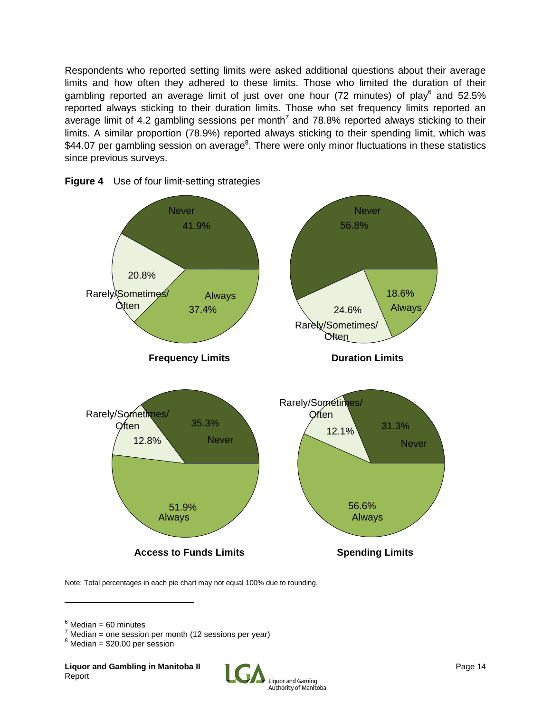Respondents who reported setting limits were asked additional questions about their average limits and how often they adhered to these limits. Those who limited the duration of their gambling reported an average limit of just over one hour (72 minutes) of play<sup>6</sup> and 52.5% reported always sticking to their duration limits. Those who set frequency limits reported an average limit of 4.2 gambling sessions per month<sup>7</sup> and 78.8% reported always sticking to their limits. A similar proportion (78.9%) reported always sticking to their spending limit, which was \$44.07 per gambling session on average<sup>8</sup>. There were only minor fluctuations in these statistics since previous surveys.





Note: Total percentages in each pie chart may not equal 100% due to rounding.

 $6$  Median = 60 minutes

 $Median = one session per month (12 sessions per year)$ 

 $8$  Median = \$20.00 per session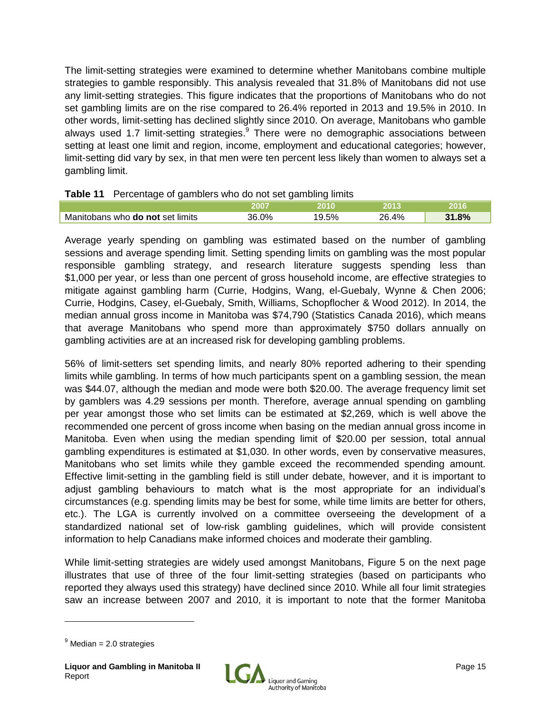The limit-setting strategies were examined to determine whether Manitobans combine multiple strategies to gamble responsibly. This analysis revealed that 31.8% of Manitobans did not use any limit-setting strategies. This figure indicates that the proportions of Manitobans who do not set gambling limits are on the rise compared to 26.4% reported in 2013 and 19.5% in 2010. In other words, limit-setting has declined slightly since 2010. On average, Manitobans who gamble always used 1.7 limit-setting strategies.<sup>9</sup> There were no demographic associations between setting at least one limit and region, income, employment and educational categories; however, limit-setting did vary by sex, in that men were ten percent less likely than women to always set a gambling limit.

# **Table 11** Percentage of gamblers who do not set gambling limits

| -<br>. .                                |       | --<br>-- |       |     |
|-----------------------------------------|-------|----------|-------|-----|
|                                         |       | чm.      |       |     |
| Manitobans who <b>do not</b> set limits | 36.0% | 9.5%     | 26.4% | .8% |

Average yearly spending on gambling was estimated based on the number of gambling sessions and average spending limit. Setting spending limits on gambling was the most popular responsible gambling strategy, and research literature suggests spending less than \$1,000 per year, or less than one percent of gross household income, are effective strategies to mitigate against gambling harm (Currie, Hodgins, Wang, el-Guebaly, Wynne & Chen 2006; Currie, Hodgins, Casey, el-Guebaly, Smith, Williams, Schopflocher & Wood 2012). In 2014, the median annual gross income in Manitoba was \$74,790 (Statistics Canada 2016), which means that average Manitobans who spend more than approximately \$750 dollars annually on gambling activities are at an increased risk for developing gambling problems.

56% of limit-setters set spending limits, and nearly 80% reported adhering to their spending limits while gambling. In terms of how much participants spent on a gambling session, the mean was \$44.07, although the median and mode were both \$20.00. The average frequency limit set by gamblers was 4.29 sessions per month. Therefore, average annual spending on gambling per year amongst those who set limits can be estimated at \$2,269, which is well above the recommended one percent of gross income when basing on the median annual gross income in Manitoba. Even when using the median spending limit of \$20.00 per session, total annual gambling expenditures is estimated at \$1,030. In other words, even by conservative measures, Manitobans who set limits while they gamble exceed the recommended spending amount. Effective limit-setting in the gambling field is still under debate, however, and it is important to adjust gambling behaviours to match what is the most appropriate for an individual's circumstances (e.g. spending limits may be best for some, while time limits are better for others, etc.). The LGA is currently involved on a committee overseeing the development of a standardized national set of low-risk gambling guidelines, which will provide consistent information to help Canadians make informed choices and moderate their gambling.

While limit-setting strategies are widely used amongst Manitobans, Figure 5 on the next page illustrates that use of three of the four limit-setting strategies (based on participants who reported they always used this strategy) have declined since 2010. While all four limit strategies saw an increase between 2007 and 2010, it is important to note that the former Manitoba



 $9$  Median = 2.0 strategies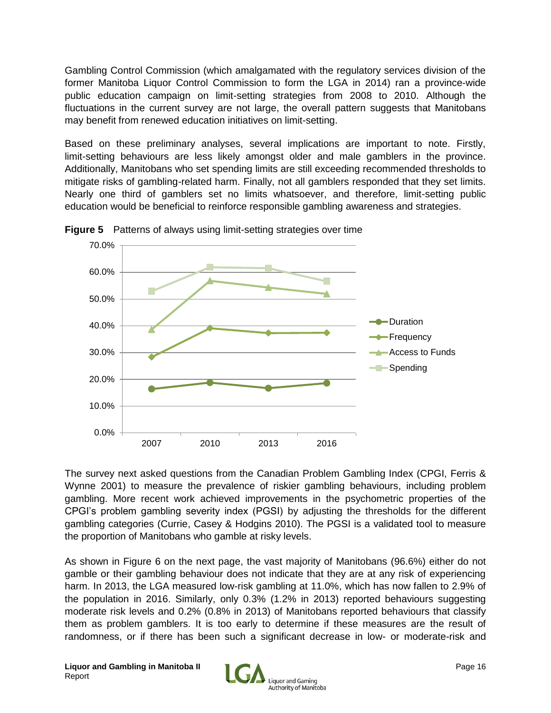Gambling Control Commission (which amalgamated with the regulatory services division of the former Manitoba Liquor Control Commission to form the LGA in 2014) ran a province-wide public education campaign on limit-setting strategies from 2008 to 2010. Although the fluctuations in the current survey are not large, the overall pattern suggests that Manitobans may benefit from renewed education initiatives on limit-setting.

Based on these preliminary analyses, several implications are important to note. Firstly, limit-setting behaviours are less likely amongst older and male gamblers in the province. Additionally, Manitobans who set spending limits are still exceeding recommended thresholds to mitigate risks of gambling-related harm. Finally, not all gamblers responded that they set limits. Nearly one third of gamblers set no limits whatsoever, and therefore, limit-setting public education would be beneficial to reinforce responsible gambling awareness and strategies.



**Figure 5** Patterns of always using limit-setting strategies over time

The survey next asked questions from the Canadian Problem Gambling Index (CPGI, Ferris & Wynne 2001) to measure the prevalence of riskier gambling behaviours, including problem gambling. More recent work achieved improvements in the psychometric properties of the CPGI's problem gambling severity index (PGSI) by adjusting the thresholds for the different gambling categories (Currie, Casey & Hodgins 2010). The PGSI is a validated tool to measure the proportion of Manitobans who gamble at risky levels.

As shown in Figure 6 on the next page, the vast majority of Manitobans (96.6%) either do not gamble or their gambling behaviour does not indicate that they are at any risk of experiencing harm. In 2013, the LGA measured low-risk gambling at 11.0%, which has now fallen to 2.9% of the population in 2016. Similarly, only 0.3% (1.2% in 2013) reported behaviours suggesting moderate risk levels and 0.2% (0.8% in 2013) of Manitobans reported behaviours that classify them as problem gamblers. It is too early to determine if these measures are the result of randomness, or if there has been such a significant decrease in low- or moderate-risk and

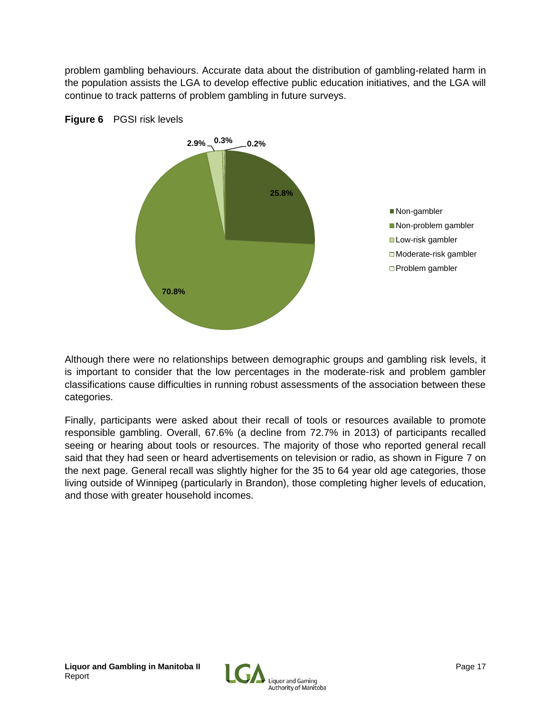problem gambling behaviours. Accurate data about the distribution of gambling-related harm in the population assists the LGA to develop effective public education initiatives, and the LGA will continue to track patterns of problem gambling in future surveys.





Although there were no relationships between demographic groups and gambling risk levels, it is important to consider that the low percentages in the moderate-risk and problem gambler classifications cause difficulties in running robust assessments of the association between these categories.

Finally, participants were asked about their recall of tools or resources available to promote responsible gambling. Overall, 67.6% (a decline from 72.7% in 2013) of participants recalled seeing or hearing about tools or resources. The majority of those who reported general recall said that they had seen or heard advertisements on television or radio, as shown in Figure 7 on the next page. General recall was slightly higher for the 35 to 64 year old age categories, those living outside of Winnipeg (particularly in Brandon), those completing higher levels of education, and those with greater household incomes.

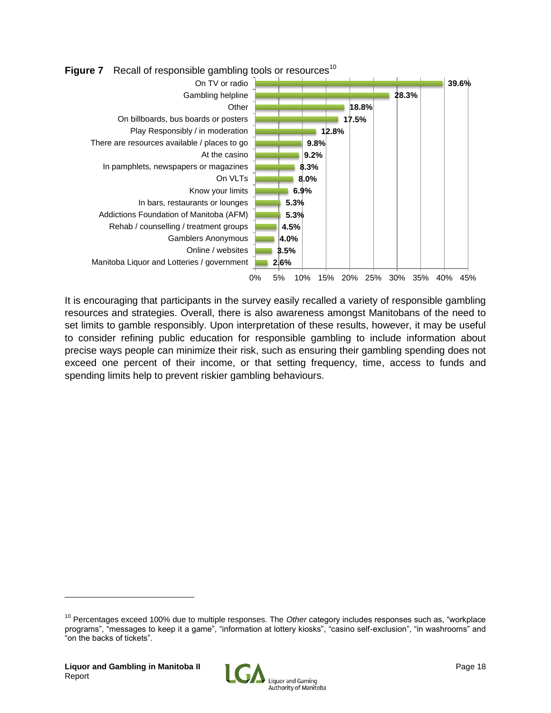

It is encouraging that participants in the survey easily recalled a variety of responsible gambling resources and strategies. Overall, there is also awareness amongst Manitobans of the need to set limits to gamble responsibly. Upon interpretation of these results, however, it may be useful to consider refining public education for responsible gambling to include information about precise ways people can minimize their risk, such as ensuring their gambling spending does not exceed one percent of their income, or that setting frequency, time, access to funds and spending limits help to prevent riskier gambling behaviours.



<sup>10</sup> Percentages exceed 100% due to multiple responses. The *Other* category includes responses such as, "workplace programs", "messages to keep it a game", "information at lottery kiosks", "casino self-exclusion", "in washrooms" and "on the backs of tickets".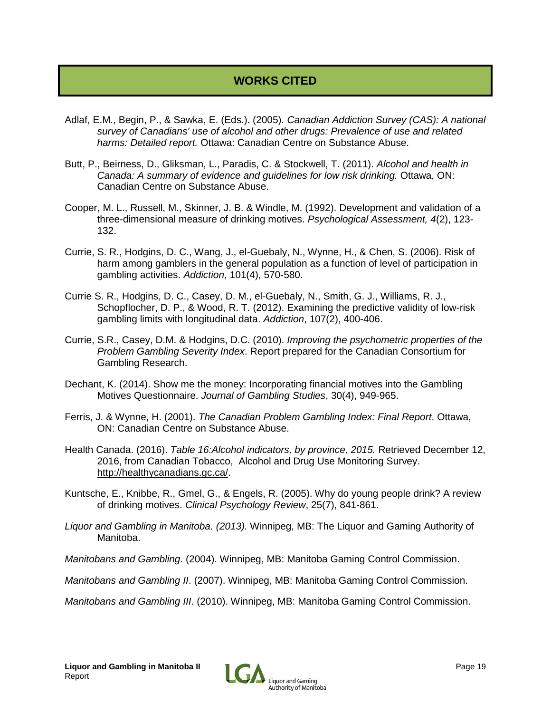# **WORKS CITED**

- Adlaf, E.M., Begin, P., & Sawka, E. (Eds.). (2005). *Canadian Addiction Survey (CAS): A national survey of Canadians' use of alcohol and other drugs: Prevalence of use and related harms: Detailed report.* Ottawa: Canadian Centre on Substance Abuse.
- Butt, P., Beirness, D., Gliksman, L., Paradis, C. & Stockwell, T. (2011). *Alcohol and health in Canada: A summary of evidence and guidelines for low risk drinking.* Ottawa, ON: Canadian Centre on Substance Abuse.
- Cooper, M. L., Russell, M., Skinner, J. B. & Windle, M. (1992). Development and validation of a three-dimensional measure of drinking motives. *Psychological Assessment, 4*(2), 123- 132.
- Currie, S. R., Hodgins, D. C., Wang, J., el-Guebaly, N., Wynne, H., & Chen, S. (2006). Risk of harm among gamblers in the general population as a function of level of participation in gambling activities. *Addiction*, 101(4), 570-580.
- Currie S. R., Hodgins, D. C., Casey, D. M., el-Guebaly, N., Smith, G. J., Williams, R. J., Schopflocher, D. P., & Wood, R. T. (2012). Examining the predictive validity of low-risk gambling limits with longitudinal data. *Addiction*, 107(2), 400-406.
- Currie, S.R., Casey, D.M. & Hodgins, D.C. (2010). *Improving the psychometric properties of the Problem Gambling Severity Index*. Report prepared for the Canadian Consortium for Gambling Research.
- Dechant, K. (2014). Show me the money: Incorporating financial motives into the Gambling Motives Questionnaire. *Journal of Gambling Studies*, 30(4), 949-965.
- Ferris, J. & Wynne, H. (2001). *The Canadian Problem Gambling Index: Final Report*. Ottawa, ON: Canadian Centre on Substance Abuse.
- Health Canada. (2016). *Table 16:Alcohol indicators, by province, 2015.* Retrieved December 12, 2016, from Canadian Tobacco, Alcohol and Drug Use Monitoring Survey. http://healthycanadians.gc.ca/.
- Kuntsche, E., Knibbe, R., Gmel, G., & Engels, R. (2005). Why do young people drink? A review of drinking motives. *Clinical Psychology Review*, 25(7), 841-861.
- *Liquor and Gambling in Manitoba. (2013).* Winnipeg, MB: The Liquor and Gaming Authority of Manitoba.
- *Manitobans and Gambling*. (2004). Winnipeg, MB: Manitoba Gaming Control Commission.

*Manitobans and Gambling II*. (2007). Winnipeg, MB: Manitoba Gaming Control Commission.

*Manitobans and Gambling III*. (2010). Winnipeg, MB: Manitoba Gaming Control Commission.

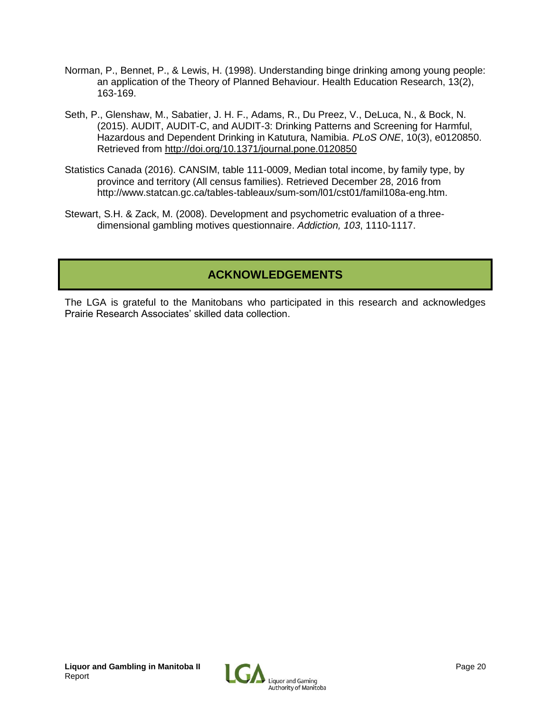- Norman, P., Bennet, P., & Lewis, H. (1998). Understanding binge drinking among young people: an application of the Theory of Planned Behaviour. Health Education Research, 13(2), 163-169.
- Seth, P., Glenshaw, M., Sabatier, J. H. F., Adams, R., Du Preez, V., DeLuca, N., & Bock, N. (2015). AUDIT, AUDIT-C, and AUDIT-3: Drinking Patterns and Screening for Harmful, Hazardous and Dependent Drinking in Katutura, Namibia. *PLoS ONE*, 10(3), e0120850. Retrieved from<http://doi.org/10.1371/journal.pone.0120850>
- Statistics Canada (2016). CANSIM, table 111-0009, Median total income, by family type, by province and territory (All census families). Retrieved December 28, 2016 from http://www.statcan.gc.ca/tables-tableaux/sum-som/l01/cst01/famil108a-eng.htm.
- Stewart, S.H. & Zack, M. (2008). Development and psychometric evaluation of a threedimensional gambling motives questionnaire. *Addiction, 103*, 1110-1117.

# **ACKNOWLEDGEMENTS**

The LGA is grateful to the Manitobans who participated in this research and acknowledges Prairie Research Associates' skilled data collection.

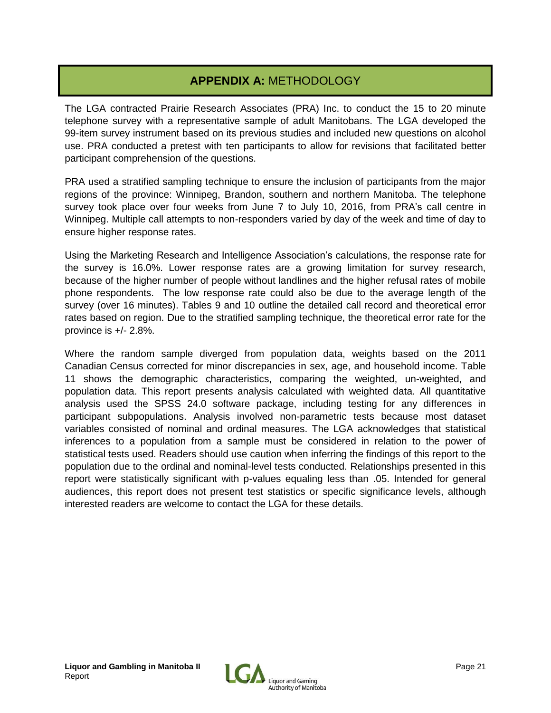# **APPENDIX A:** METHODOLOGY

The LGA contracted Prairie Research Associates (PRA) Inc. to conduct the 15 to 20 minute telephone survey with a representative sample of adult Manitobans. The LGA developed the 99-item survey instrument based on its previous studies and included new questions on alcohol use. PRA conducted a pretest with ten participants to allow for revisions that facilitated better participant comprehension of the questions.

PRA used a stratified sampling technique to ensure the inclusion of participants from the major regions of the province: Winnipeg, Brandon, southern and northern Manitoba. The telephone survey took place over four weeks from June 7 to July 10, 2016, from PRA's call centre in Winnipeg. Multiple call attempts to non-responders varied by day of the week and time of day to ensure higher response rates.

Using the Marketing Research and Intelligence Association's calculations, the response rate for the survey is 16.0%. Lower response rates are a growing limitation for survey research, because of the higher number of people without landlines and the higher refusal rates of mobile phone respondents. The low response rate could also be due to the average length of the survey (over 16 minutes). Tables 9 and 10 outline the detailed call record and theoretical error rates based on region. Due to the stratified sampling technique, the theoretical error rate for the province is +/- 2.8%.

Where the random sample diverged from population data, weights based on the 2011 Canadian Census corrected for minor discrepancies in sex, age, and household income. Table 11 shows the demographic characteristics, comparing the weighted, un-weighted, and population data. This report presents analysis calculated with weighted data. All quantitative analysis used the SPSS 24.0 software package, including testing for any differences in participant subpopulations. Analysis involved non-parametric tests because most dataset variables consisted of nominal and ordinal measures. The LGA acknowledges that statistical inferences to a population from a sample must be considered in relation to the power of statistical tests used. Readers should use caution when inferring the findings of this report to the population due to the ordinal and nominal-level tests conducted. Relationships presented in this report were statistically significant with p-values equaling less than .05. Intended for general audiences, this report does not present test statistics or specific significance levels, although interested readers are welcome to contact the LGA for these details.

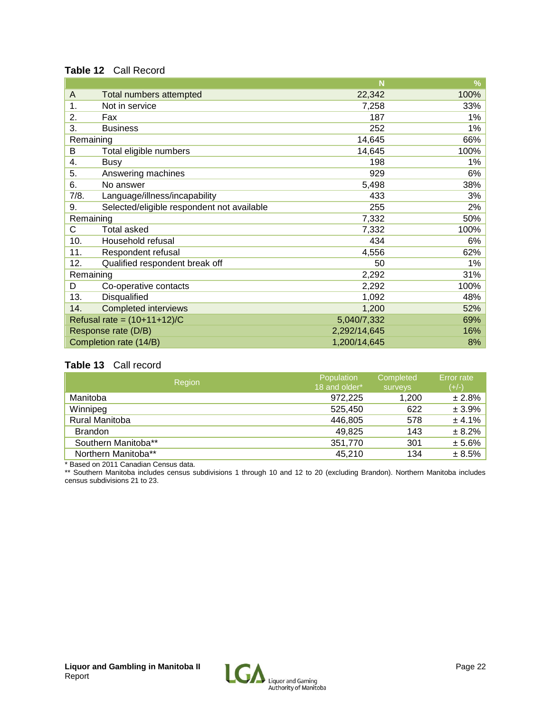#### **Table 12** Call Record

|                                                  | N            | %     |
|--------------------------------------------------|--------------|-------|
| Total numbers attempted<br>A                     | 22,342       | 100%  |
| Not in service<br>1.                             | 7,258        | 33%   |
| 2.<br>Fax                                        | 187          | 1%    |
| 3.<br><b>Business</b>                            | 252          | $1\%$ |
| Remaining                                        | 14,645       | 66%   |
| B<br>Total eligible numbers                      | 14,645       | 100%  |
| 4.<br>Busy                                       | 198          | 1%    |
| 5.<br>Answering machines                         | 929          | 6%    |
| No answer<br>6.                                  | 5,498        | 38%   |
| 7/8.<br>Language/illness/incapability            | 433          | 3%    |
| Selected/eligible respondent not available<br>9. | 255          | 2%    |
| Remaining                                        | 7,332        | 50%   |
| C<br><b>Total asked</b>                          | 7,332        | 100%  |
| Household refusal<br>10.                         | 434          | 6%    |
| 11.<br>Respondent refusal                        | 4,556        | 62%   |
| Qualified respondent break off<br>12.            | 50           | $1\%$ |
| Remaining                                        | 2,292        | 31%   |
| Co-operative contacts<br>D                       | 2,292        | 100%  |
| 13.<br>Disqualified                              | 1,092        | 48%   |
| <b>Completed interviews</b><br>14.               | 1,200        | 52%   |
| Refusal rate = $(10+11+12)/C$                    | 5,040/7,332  | 69%   |
| Response rate (D/B)                              | 2,292/14,645 | 16%   |
| Completion rate (14/B)                           | 1,200/14,645 | 8%    |

#### **Table 13** Call record

| Region              | Population<br>18 and older* | Completed<br>surveys | <b>Error</b> rate<br>$(+/-)$ |
|---------------------|-----------------------------|----------------------|------------------------------|
| Manitoba            | 972,225                     | 1,200                | ± 2.8%                       |
| Winnipeg            | 525,450                     | 622                  | ± 3.9%                       |
| Rural Manitoba      | 446,805                     | 578                  | ± 4.1%                       |
| <b>Brandon</b>      | 49,825                      | 143                  | ± 8.2%                       |
| Southern Manitoba** | 351,770                     | 301                  | ± 5.6%                       |
| Northern Manitoba** | 45,210                      | 134                  | ± 8.5%                       |

\* Based on 2011 Canadian Census data.

\*\* Southern Manitoba includes census subdivisions 1 through 10 and 12 to 20 (excluding Brandon). Northern Manitoba includes census subdivisions 21 to 23.